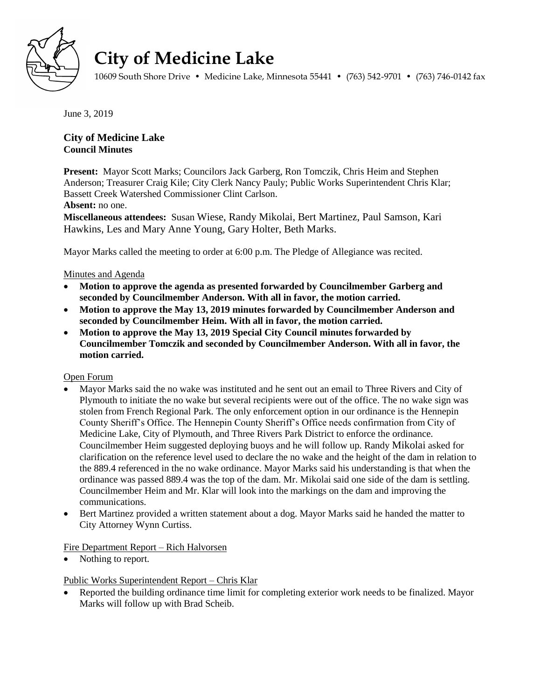

# **City of Medicine Lake**

10609 South Shore Drive • Medicine Lake, Minnesota 55441 • (763) 542-9701 • (763) 746-0142 fax

June 3, 2019

## **City of Medicine Lake Council Minutes**

**Present:** Mayor Scott Marks; Councilors Jack Garberg, Ron Tomczik, Chris Heim and Stephen Anderson; Treasurer Craig Kile; City Clerk Nancy Pauly; Public Works Superintendent Chris Klar; Bassett Creek Watershed Commissioner Clint Carlson.

**Absent:** no one.

**Miscellaneous attendees:** Susan Wiese, Randy Mikolai, Bert Martinez, Paul Samson, Kari Hawkins, Les and Mary Anne Young, Gary Holter, Beth Marks.

Mayor Marks called the meeting to order at 6:00 p.m. The Pledge of Allegiance was recited.

#### Minutes and Agenda

- **Motion to approve the agenda as presented forwarded by Councilmember Garberg and seconded by Councilmember Anderson. With all in favor, the motion carried.**
- **Motion to approve the May 13, 2019 minutes forwarded by Councilmember Anderson and seconded by Councilmember Heim. With all in favor, the motion carried.**
- **Motion to approve the May 13, 2019 Special City Council minutes forwarded by Councilmember Tomczik and seconded by Councilmember Anderson. With all in favor, the motion carried.**

#### Open Forum

- Mayor Marks said the no wake was instituted and he sent out an email to Three Rivers and City of Plymouth to initiate the no wake but several recipients were out of the office. The no wake sign was stolen from French Regional Park. The only enforcement option in our ordinance is the Hennepin County Sheriff's Office. The Hennepin County Sheriff's Office needs confirmation from City of Medicine Lake, City of Plymouth, and Three Rivers Park District to enforce the ordinance. Councilmember Heim suggested deploying buoys and he will follow up. Randy Mikolai asked for clarification on the reference level used to declare the no wake and the height of the dam in relation to the 889.4 referenced in the no wake ordinance. Mayor Marks said his understanding is that when the ordinance was passed 889.4 was the top of the dam. Mr. Mikolai said one side of the dam is settling. Councilmember Heim and Mr. Klar will look into the markings on the dam and improving the communications.
- Bert Martinez provided a written statement about a dog. Mayor Marks said he handed the matter to City Attorney Wynn Curtiss.

#### Fire Department Report – Rich Halvorsen

Nothing to report.

#### Public Works Superintendent Report – Chris Klar

 Reported the building ordinance time limit for completing exterior work needs to be finalized. Mayor Marks will follow up with Brad Scheib.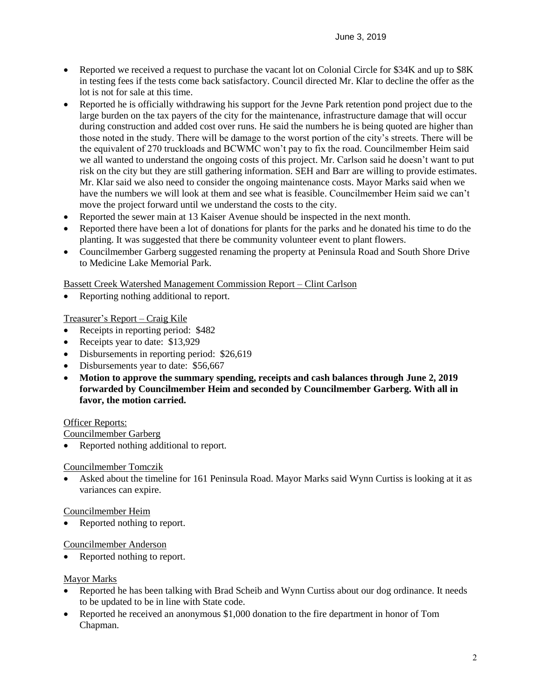- Reported we received a request to purchase the vacant lot on Colonial Circle for \$34K and up to \$8K in testing fees if the tests come back satisfactory. Council directed Mr. Klar to decline the offer as the lot is not for sale at this time.
- Reported he is officially withdrawing his support for the Jevne Park retention pond project due to the large burden on the tax payers of the city for the maintenance, infrastructure damage that will occur during construction and added cost over runs. He said the numbers he is being quoted are higher than those noted in the study. There will be damage to the worst portion of the city's streets. There will be the equivalent of 270 truckloads and BCWMC won't pay to fix the road. Councilmember Heim said we all wanted to understand the ongoing costs of this project. Mr. Carlson said he doesn't want to put risk on the city but they are still gathering information. SEH and Barr are willing to provide estimates. Mr. Klar said we also need to consider the ongoing maintenance costs. Mayor Marks said when we have the numbers we will look at them and see what is feasible. Councilmember Heim said we can't move the project forward until we understand the costs to the city.
- Reported the sewer main at 13 Kaiser Avenue should be inspected in the next month.
- Reported there have been a lot of donations for plants for the parks and he donated his time to do the planting. It was suggested that there be community volunteer event to plant flowers.
- Councilmember Garberg suggested renaming the property at Peninsula Road and South Shore Drive to Medicine Lake Memorial Park.

Bassett Creek Watershed Management Commission Report – Clint Carlson

Reporting nothing additional to report.

Treasurer's Report – Craig Kile

- Receipts in reporting period: \$482
- Receipts year to date: \$13,929
- Disbursements in reporting period: \$26,619
- Disbursements year to date: \$56,667
- **Motion to approve the summary spending, receipts and cash balances through June 2, 2019 forwarded by Councilmember Heim and seconded by Councilmember Garberg. With all in favor, the motion carried.**

#### Officer Reports:

Councilmember Garberg

Reported nothing additional to report.

#### Councilmember Tomczik

 Asked about the timeline for 161 Peninsula Road. Mayor Marks said Wynn Curtiss is looking at it as variances can expire.

#### Councilmember Heim

Reported nothing to report.

#### Councilmember Anderson

Reported nothing to report.

#### Mayor Marks

- Reported he has been talking with Brad Scheib and Wynn Curtiss about our dog ordinance. It needs to be updated to be in line with State code.
- Reported he received an anonymous \$1,000 donation to the fire department in honor of Tom Chapman.